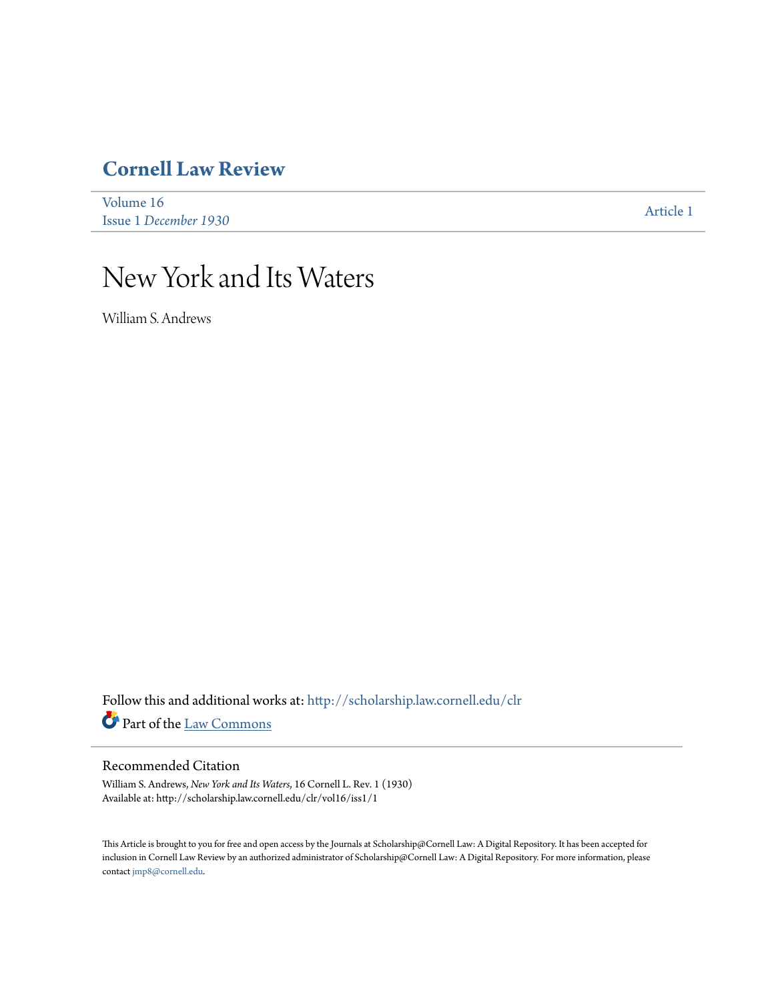## **[Cornell Law Review](http://scholarship.law.cornell.edu/clr?utm_source=scholarship.law.cornell.edu%2Fclr%2Fvol16%2Fiss1%2F1&utm_medium=PDF&utm_campaign=PDFCoverPages)**

[Volume 16](http://scholarship.law.cornell.edu/clr/vol16?utm_source=scholarship.law.cornell.edu%2Fclr%2Fvol16%2Fiss1%2F1&utm_medium=PDF&utm_campaign=PDFCoverPages) Issue 1 *[December 1930](http://scholarship.law.cornell.edu/clr/vol16/iss1?utm_source=scholarship.law.cornell.edu%2Fclr%2Fvol16%2Fiss1%2F1&utm_medium=PDF&utm_campaign=PDFCoverPages)* [Article 1](http://scholarship.law.cornell.edu/clr/vol16/iss1/1?utm_source=scholarship.law.cornell.edu%2Fclr%2Fvol16%2Fiss1%2F1&utm_medium=PDF&utm_campaign=PDFCoverPages)

# New York and Its Waters

William S. Andrews

Follow this and additional works at: [http://scholarship.law.cornell.edu/clr](http://scholarship.law.cornell.edu/clr?utm_source=scholarship.law.cornell.edu%2Fclr%2Fvol16%2Fiss1%2F1&utm_medium=PDF&utm_campaign=PDFCoverPages) Part of the [Law Commons](http://network.bepress.com/hgg/discipline/578?utm_source=scholarship.law.cornell.edu%2Fclr%2Fvol16%2Fiss1%2F1&utm_medium=PDF&utm_campaign=PDFCoverPages)

### Recommended Citation

William S. Andrews, *New York and Its Waters*, 16 Cornell L. Rev. 1 (1930) Available at: http://scholarship.law.cornell.edu/clr/vol16/iss1/1

This Article is brought to you for free and open access by the Journals at Scholarship@Cornell Law: A Digital Repository. It has been accepted for inclusion in Cornell Law Review by an authorized administrator of Scholarship@Cornell Law: A Digital Repository. For more information, please contact [jmp8@cornell.edu.](mailto:jmp8@cornell.edu)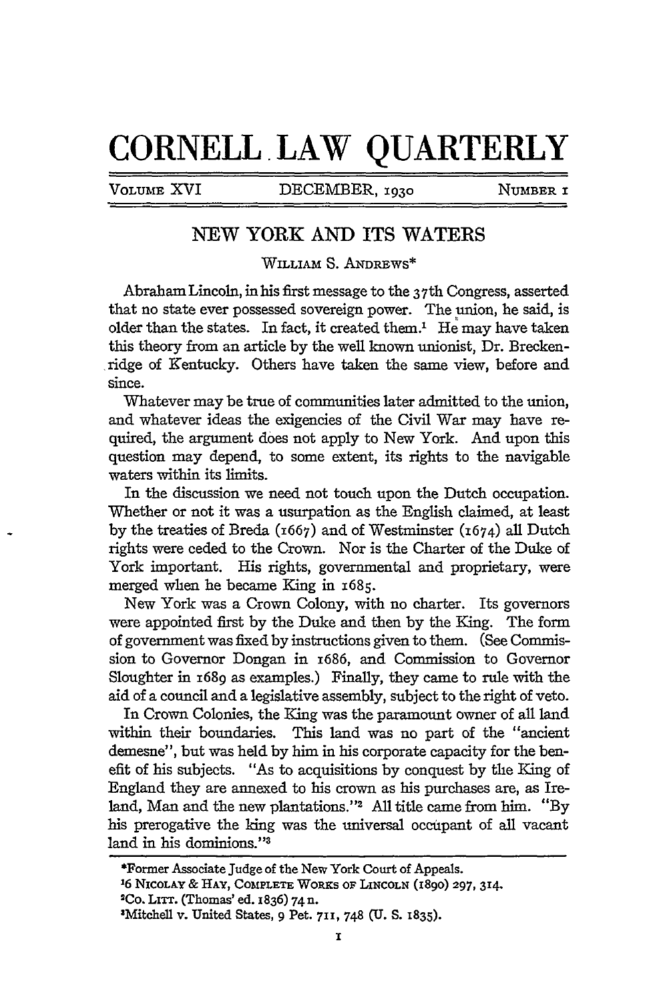## **CORNELL. LAW QUARTERLY**

VOLUME XVI DECEMBER, 1030 **NUMBER** 

## **NEW YORK AND ITS WATERS**

### WILLIAM S. ANDREWS\*

Abraham Lincoln, inhis first message to the 3 7th Congress, asserted that no state ever possessed sovereign power. The union, he said, is older than the states. In fact, it created them.' He may have taken this theory from an article by the well known unionist, Dr. Breckenridge of Kentucky. Others have taken the same view, before and since.

Whatever may be true of communities later admitted to the union, and whatever ideas the exigencies of the Civil War may have required, the argument does not apply to New York. And upon this question may depend, to some extent, its rights to the navigable waters within its limits.

In the discussion we need not touch upon the Dutch occupation. Whether or not it was a usurpation as the English claimed, at least by the treaties of Breda (1667) and of Westminster (1674) all Dutch rights were ceded to the Crown. Nor is the Charter of the Duke of York important. His rights, governmental and proprietary, were merged when he became King in **1685.**

New York was a Crown Colony, with no charter. Its governors were appointed first by the Duke and then by the King. The form of government was fixed by instructions given to them. (See Commission to Governor Dongan in i686, and Commission to Governor Sloughter in 1689 as examples.) Finally, they came to rule with the aid of a council and a legislative assembly, subject to the right of veto.

In Crown Colonies, the King was the paramount owner of all land within their boundaries. This land was no part of the "ancient demesne", but was held by him in his corporate capacity for the benefit of his subjects. "As to acquisitions by conquest by the King of England they are annexed to his crown as his purchases are, as Ireland, Man and the new plantations."<sup>2</sup> All title came from him. "By his prerogative the king was the universal occupant of all vacant land in his dominions."<sup>3</sup>

<sup>\*</sup>Former Associate Judge of the New York Court of Appeals.

**<sup>16</sup> NICOLAY & HAY, COMPLETE WORKS OF LINCOLN** (1890) **297, 314.**

**<sup>2</sup>Co. LITT.** (Thomas' ed. 1836) **74n.** 3

Mitchell v. United States, **9** Pet. **711, 748 (U. S. 1835).**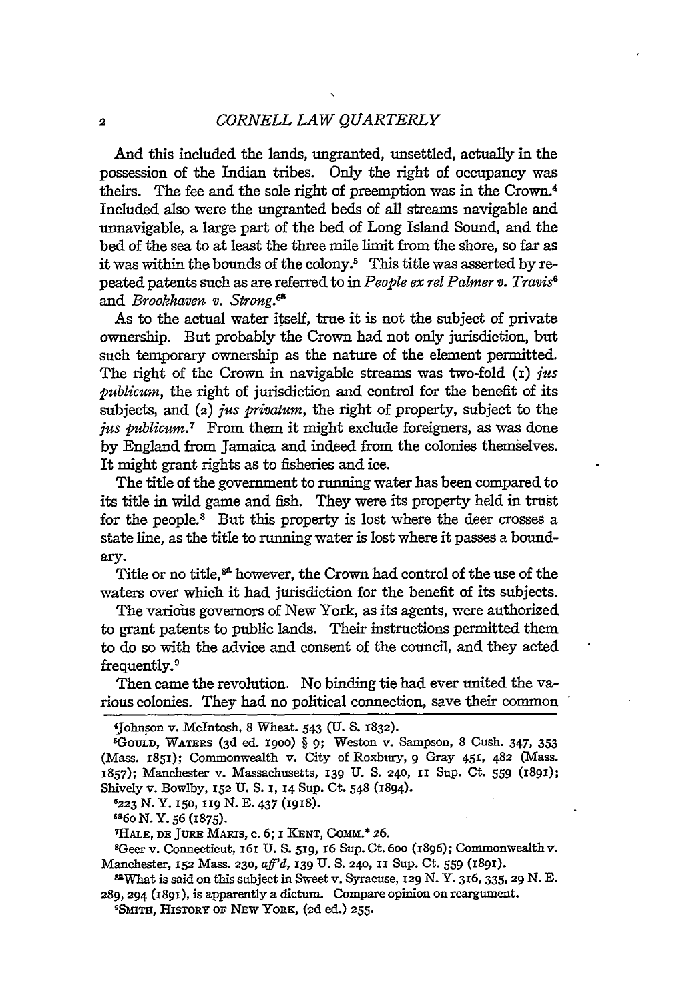And this included the lands, ungranted, unsettled, actually in the possession of the Indian tribes. Only the right of occupancy was theirs. The fee and the sole right of preemption was in the Crown.4 Included also were the ungranted beds of all streams navigable and unnavigable, a large part of the bed of Long Island Sound, and the bed of the sea to at least the three mile limit from the shore, so far as it was within the bounds of the colony.' This title was asserted by repeated patents such as are referred to in *People ex rel Palmer v. Travis8* and *Brookhaven v. Strong.*<sup>68</sup>

As to the actual water itself, true it is not the subject of private ownership. But probably the Crown had not only jurisdiction, but such temporary ownership as the nature of the element permitted. The right of the Crown in navigable streams was two-fold  $(i)$  *jus publicum,* the right of jurisdiction and control for the benefit of its subjects, and (2) *jus privatum,* the right of property, subject to the *ius publicum.7* From them it might exclude foreigners, as was done by England from Jamaica and indeed from the colonies themselves. It might grant rights as to fisheries and ice.

The title of the government to running water has been compared to its title in wild game and fish. They were its property held in trust for the people.<sup>8</sup> But this property is lost where the deer crosses a state line, as the title to running water is lost where it passes a boundary.

Title or no title,<sup>88</sup> however, the Crown had control of the use of the waters over which it had jurisdiction for the benefit of its subjects.

The various governors of New York, as its agents, were authorized to grant patents to public lands. Their instructions permitted them to do so with the advice and consent of the council, and they acted frequently.'

Then came the revolution. No binding tie had ever united the various colonies. They had no political connection, save their common

**6223 N.** Y. i5o, "19 **N. E.** 437 (1918).

**686o** N. Y. **56 (1875).**

**7 HALE, DE JURE** MARIS, **c.** 6; **I KENT,** COMM.\* **26.**

sGeer v. Connecticut, **16I U. S. 519,** i6 Sup. Ct. 60o (1896); Commonwealthv. Manchester, **152** Mass. **230,** *aff'd,* **139 U. S.** 240, **1,** Sup. **Ct.** 559 (r891).

8aWhat is said on this subject in Sweet v. Syracuse, **129 N. Y. 316, 335, 29 N. E.** 289, 294 (I89I), is apparently a dictum. Compare opinion on reargument.

SSMITH, HISTORY Or NEW YORK, (2d ed.) **255.**

<sup>4</sup> Johnson v. McIntosh, 8 Wheat. 543 (U. S. 1832).<br>5 Cours. Warner (ed. od. 1999), 8 av. Wester v.

GOULD, WATERS (3d ed. igoo) § **9;** Weston v. Sampson, 8 Cush. 347, **353** (Mass. x851); Commonwealth v. City of Roxbury, 9 Gray 451, 482 (Mass. 1857); Manchester v. Massachusetts, 139 U. S. 240, II Sup. Ct. **559** (1891); Shively v. Bowlby, 152 **U.** S. **I, 14** Sup. Ct. 548 (1894).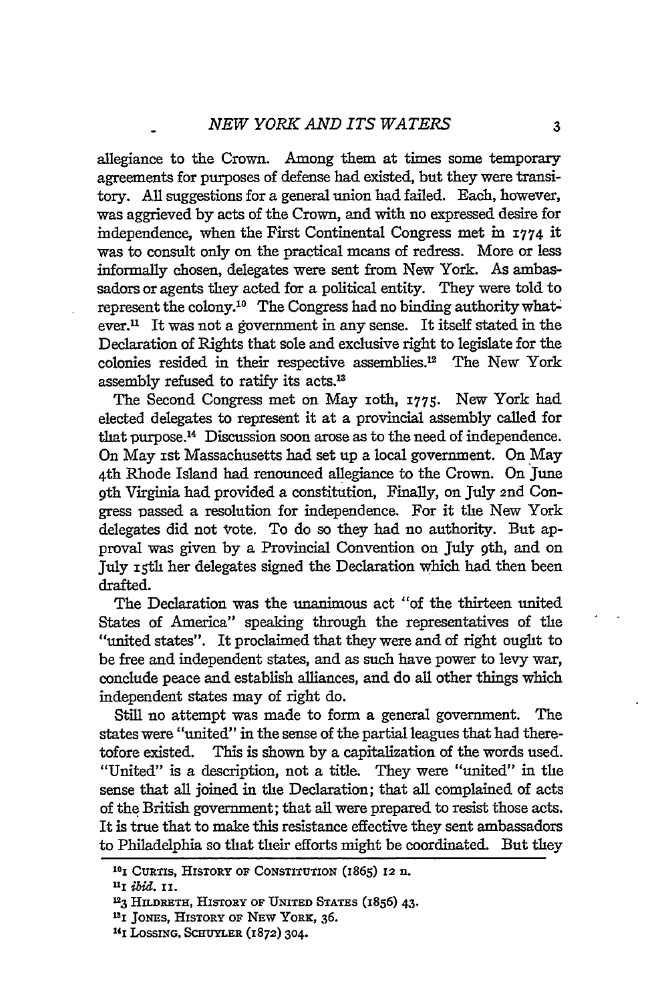allegiance to the Crown. Among them at times some temporary agreements for purposes of defense had existed, but they were transitory. All suggestions for a general union had failed. Each, however, was aggrieved by acts of the Crown, and with no expressed desire for independence, when the First Continental Congress met in **1774** it was to consult only on the practical means of redress. More or less informally chosen, delegates were sent from New York. As ambassadors or agents they acted for a political entity. They were told to represent the colony.'0 The Congress had no binding authority whatever." It was not a government in any sense. It itself stated in the Declaration of Rights that sole and exclusive right to legislate for the colonies resided in their respective assemblies.<sup>12</sup> The New York assembly refused to ratify its acts.13

The Second Congress met on May ioth, **1775.** New York had elected delegates to represent it at a provincial assembly called for that purpose. 14 Discussion soon arose as to the need of independence. On May ist Massachusetts had set up a local government. On May 4th Rhode Island had renounced allegiance to the Crown. On June **9th** Virginia had provided a constitution, Finally, on July 2nd Congress passed a resolution for independence. For it the New York delegates did not vote. To do so they had no authority. But approval was given by a Provincial Convention on July 9th, and on July **ith** her delegates signed the Declaration which had then been drafted.

The Declaration was the unanimous act "of the thirteen united States of America" speaking through the representatives of the "united states". It proclaimed that they were and of right ought to be free and independent states, and as such have power to levy war, conclude peace and establish alliances, and do all other things which independent states may of right do.

Still no attempt was made to form a general government. The states were "united" in the sense of the partial leagues that had theretofore existed. This is shown by a capitalization of the words used. "United" is a description, not a title. They were "united" in the sense that all joined in the Declaration; that all complained of acts of the British government; that all were prepared to resist those acts. It is true that to make this resistance effective they sent ambassadors to Philadelphia so that their efforts might be coordinated. But they

**<sup>10</sup>i CURTIS,** HISTORY OF CONSTITUTION (1865) **12** n.

*UI ibid. Ii.*

**<sup>123</sup> HILDRETH, HISTORY** OF **UNITED STATES (1856) 43.**

**<sup>131</sup>**JONES, HISTORY **OF** NEW YORK, **36.**

**<sup>&#</sup>x27; 4 1** LossiNG. **SCHUYLER (1872) 304.**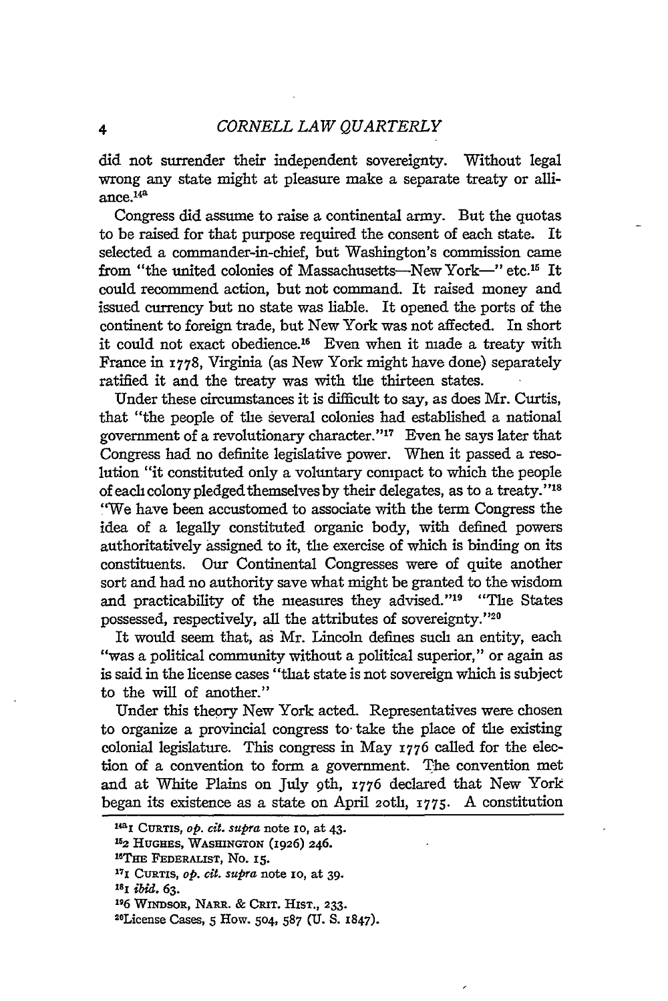did not surrender their independent sovereignty. Without legal wrong any state might at pleasure make a separate treaty or alliance.<sup>14a</sup>

Congress did assume to raise a continental army. But the quotas to be raised for that purpose required the consent of each state. It selected a commander-in-chief, but Washington's commission came from "the united colonies of Massachusetts-New York-" etc.<sup>15</sup> It could recommend action, but not command. It raised money and issued currency but no state was liable. It opened the ports of the continent to foreign trade, but New York was not affected. In short it could not exact obedience.<sup>16</sup> Even when it made a treaty with France in **1778,** Virginia (as New York might have done) separately ratified it and the treaty was with the thirteen states.

Under these circumstances it is difficult to say, as does Mr. Curtis, that "the people of the several colonies had established a national government of a revolutionary character." $17$  Even he says later that Congress had no definite legislative power. When it passed a resolution "it constituted only a voluntary compact to which the people of each colony pledged themselves by their delegates, as to a treaty."<sup>18</sup> "We have been accustomed to associate with the term Congress the idea of a legally constituted organic body, with defined powers authoritatively assigned to it, the exercise of which is binding on its constituents. Our Continental Congresses were of quite another sort and had no authority save what might be granted to the wisdom and practicability of the measures they advised."<sup>19</sup> "The States possessed, respectively, all the attributes of sovereignty."<sup>20</sup>

It would seem that, as Mr. Lincoln defines such an entity, each "was a political community without a political superior," or again as is said in the license cases "that state is not sovereign which is subject to the will of another."

Under this theory New York acted. Representatives were chosen to organize a provincial congress to- take the place of the existing colonial legislature. This congress in May **1776** called for the election of a convention to form a government. The convention met and at White Plains on July 9th, 1776 declared that New York began its existence as a state on April **2oth, 1775.** A constitution

**<sup>&#</sup>x27;4i CuRTIs,** *op. cit. supra* **note io, at 43. 152 HUGHES, WASHINGTON (1926) 246.**

**<sup>1</sup> 6 THE FEDERALIST, No. I.**

**<sup>171</sup> CURTIS,** *op. cit. Supra* **note io, at 39.**

**<sup>181</sup>***ibi.* **63.**

**<sup>&#</sup>x27;16 WINDSOR, NARE. & CRiT. HIST., 233. <sup>2</sup> <sup>0</sup>**

**License Cases, 5 How. 504, 587 (U. S. 1847).**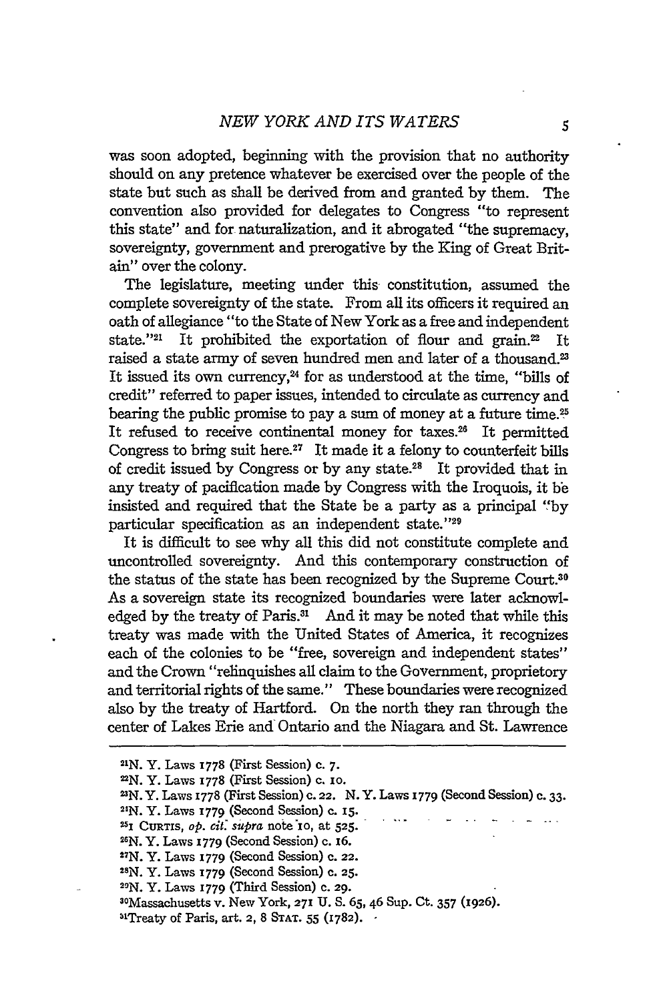was soon adopted, beginning with the provision that no authority should on any pretence whatever be exercised over the people of the state but such as shall be derived from and granted by them. The convention also provided for delegates to Congress "to represent this state" and for naturalization, and it abrogated "the supremacy, sovereignty, government and prerogative by the King of Great Britain" over the colony.

The legislature, meeting under this constitution, assumed the complete sovereignty of the state. From all its officers it required an oath of allegiance "to the State of New York as a free and independent state."<sup>21</sup> It prohibited the exportation of flour and grain.<sup>22</sup> raised a state army of seven hundred men and later of a thousand." It issued its own currency,<sup>24</sup> for as understood at the time, "bills of credit" referred to paper issues, intended to circulate as currency and bearing the public promise to pay a sum of money at a future time.<sup>25</sup> It refused to receive continental money for taxes.<sup>26</sup> It permitted Congress to bring suit here.<sup>27</sup> It made it a felony to counterfeit bills of credit issued by Congress or by any state.28 It provided that in any treaty of pacification made by Congress with the Iroquois, it be insisted and required that the State be a party as a principal **"'by** particular specification as an independent state."29

It is difficult to see why all this did not constitute complete and uncontrolled sovereignty. And this contemporary construction of the status of the state has been recognized by the Supreme Court.<sup>30</sup> As a sovereign state its recognized boundaries were later acknowledged by the treaty of Paris.<sup>31</sup> And it may be noted that while this treaty was made with the United States of America, it recognizes each of the colonies to be "free, sovereign and independent states" and the Crown "relinquishes all claim to the Government, proprietory and territorial rights of the same." These boundaries were recognized also by the treaty of Hartford. On the north they ran through the center of Lakes Erie and Ontario and the Niagara and St. Lawrence

**<sup>21</sup>N.** Y. Laws 1778 (First Session) c. **7.**

**<sup>2</sup>N.** Y. Laws 1778 (First Session) c. io.

**<sup>2</sup>N.** Y. Laws 1778 (First Session) c. **22.** N.Y. Laws **1779** (Second Session) c. 33.

**<sup>21</sup>N.** Y. Laws 1779 (Second Session) c. 15.

<sup>&</sup>quot;5 **CURTIS,** *op. cit. supra* note **io,** at **525.**

**<sup>21</sup>N.** Y. Laws I779 (Second Session) **c.** 16.

**<sup>27</sup>N.** Y. Laws 1779 (Second Session) c. **22. <sup>28</sup>**

**N.** Y. Laws **1779** (Second Session) c. **25.**

**<sup>29</sup>N.** Y. Laws 1779 (Third Session) c. 29.

<sup>30</sup>Massachusetts v. New York, **271 U.** S. **65,** 46 Sup. Ct. 357 **(1926).**

<sup>3&#</sup>x27;Treaty of Paris, art. **2,** 8 **STAT.** 55 **(1782).**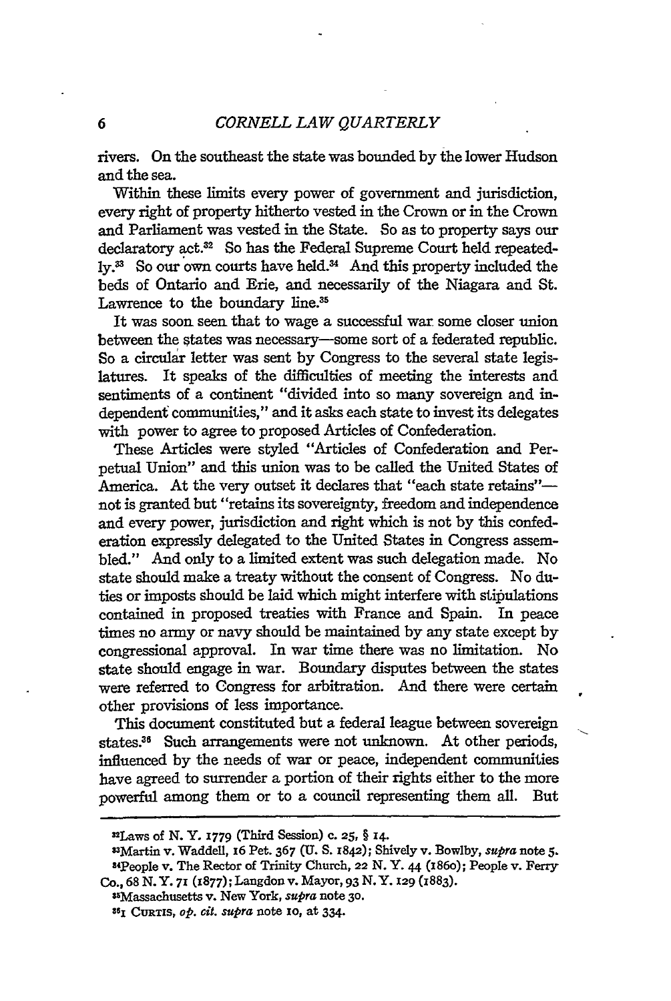rivers. On the southeast the state was bounded by the lower Hudson and the sea.

Within these limits every power of government and jurisdiction, every right of property hitherto vested in the Crown or in the Crown and Parliament was vested in the State. So as to property says our declaratory act.32 So has the Federal Supreme Court held repeatedly.<sup>33</sup> So our own courts have held.<sup>34</sup> And this property included the beds of Ontario and Erie, and necessarily of the Niagara and St. Lawrence to the boundary line.<sup>35</sup>

It was soon seen that to wage a successful war some closer union between the states was necessary-some sort of a federated republic. So a circular letter was sent **by** Congress to the several state legislatures. It speaks of the difficulties of meeting the interests and sentiments of a continent "divided into so many sovereign and independent communities," and it asks each state to invest its delegates with power to agree to proposed Articles of Confederation.

These Articles were styled "Articles of Confederation and Perpetual Union" and this union was to be called the United States of America. At the very outset it declares that "each state retains"not is granted but "retains its sovereignty, freedom and independence and every power, jurisdiction and right which is not **by** this confederation expressly delegated to the United States in Congress assembled." And only to a limited extent was such delegation made. No state should make a treaty without the consent of Congress. No duties or imposts should be laid which might interfere with stipulations contained in proposed treaties with France and Spain. In peace times no army or navy should be maintained **by** any state except **by** congressional approval. In war time there was no limitation. No state should engage in war. Boundary disputes between the states were referred to Congress for arbitration. And there were certain other provisions of less importance.

This document constituted but a federal leagne between sovereign states.<sup>36</sup> Such arrangements were not unknown. At other periods, influenced **by** the needs of war or peace, independent communities have agreed to surrender a portion of their rights either to the more powerful among them or to a council representing them all. But

 $^{25}$ Massachusetts v. New York, *supra* note 30.

<sup>32</sup> Laws of **N.** Y. **1779** (Third Session) **c. 25,** § **14.**

<sup>33</sup> Martin v. Waddell, i6 Pet. **367 (U. S.** 1842); Shively v. Bowlby, *supra* note **5.** "4People v. The Rector of Trinity Church, 22 **N.** Y. 44 **(186o);** People v. Ferry **Co., 68 N. Y. 71 (z877);** Langdon v. Mayor, 93 **N.** Y. **129 (1883).**

**<sup>861</sup> CURTS,** *op. cit. supra* note **IO,** at 334.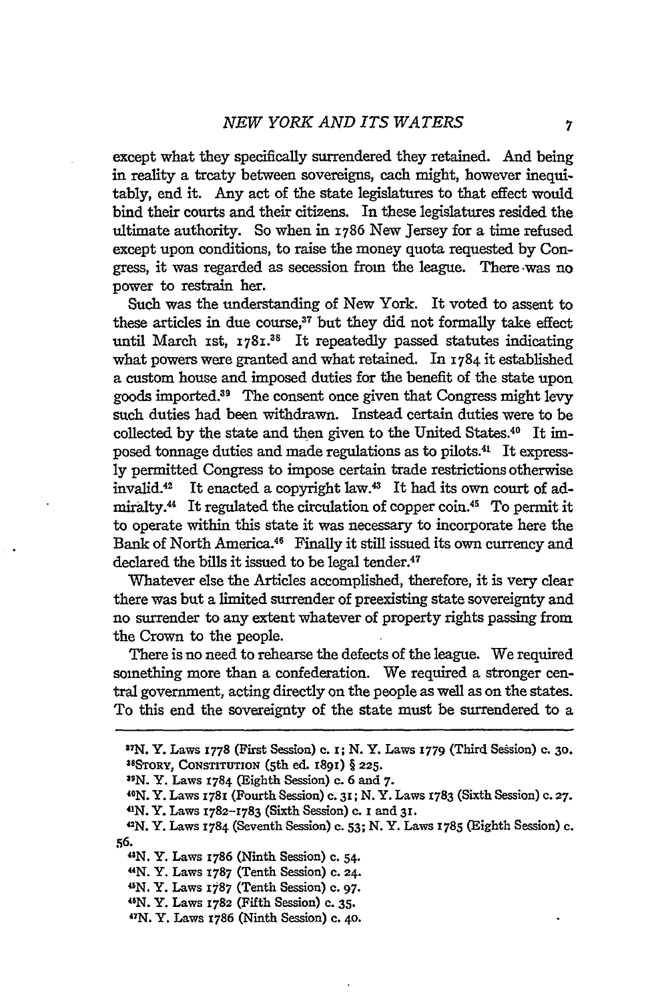except what they specifically surrendered they retained. And being in reality a treaty between sovereigns, each might, however inequitably, end it. Any act of the state legislatures to that effect would bind their courts and their citizens. In these legislatures resided the ultimate authority. So when in 1786 New Jersey for a time refused except upon conditions, to raise the money quota requested by Congress, it was regarded as secession from the league. There -was no power to restrain her.

Such was the understanding of New York. It voted to assent to these articles in due course,<sup>37</sup> but they did not formally take effect until March 1st, 1781.<sup>38</sup> It repeatedly passed statutes indicating what powers were granted and what retained. In 1784 it established a custom house and imposed duties for the benefit of the state upon goods imported.39 The consent once given that Congress might levy such duties had been withdrawn. Instead certain duties were to be collected by the state and then given to the United States.40 It **im**posed tonnage duties and made regulations as to pilots.4' It express**ly** permitted Congress to impose certain trade restrictions otherwise invalid.<sup>42</sup> It enacted a copyright law.<sup>43</sup> It had its own court of admiralty.<sup>44</sup> It regulated the circulation of copper coin.<sup>45</sup> To permit it to operate within this state it was necessary to incorporate here the Bank of North America.<sup>46</sup> Finally it still issued its own currency and declared the bills it issued to be legal tender.<sup>47</sup>

Whatever else the Articles accomplished, therefore, it is very clear there was but a limited surrender of preexisting state sovereignty and no surrender to any extent whatever of property rights passing from the Crown to the people.

There is no need to rehearse the defects of the league. We required something more than a confederation. We required a stronger central government, acting directly on the people as well as on the states. To this end the sovereignty of the state must be surrendered to a

**N.** Y. Laws 1786 (Ninth Session) c. 54.

41N. Y. Laws 1787 (Tenth Session) **C. 24.**

**45N.** Y. Laws **I787** (Tenth Session) c. **97.**

ON. Y. Laws **1782** (Fifth Session) **c. 35.**

**4 7 N.** Y. Laws **1786** (Ninth Session) c. **4o.**

**<sup>3</sup> 7 N.** Y. Laws **I778** (First Session) **c. i; N.** Y. Laws **1779** (Third Sesion) c. **3o. 38 SToRY, CoNsTiUToN** (5th ed. **1891)** § **225.**

**<sup>39</sup> N.** Y. Laws **31784** (Eighth Session) c. **6** and **7.**

<sup>4</sup> 0 N. Y. Laws 1781 (Fourth Session) c. **31; N.** Y. Laws 3783 (Sixth Session) **c. 27.** 41 N. Y. Laws **1782-1783** (Sixth Session) c. i and **31.**

<sup>42</sup>N. Y. Laws **1784** (Seventh Session) **c. 53; N.** Y. Laws **1785** (Eighth Session) **c. 56.43**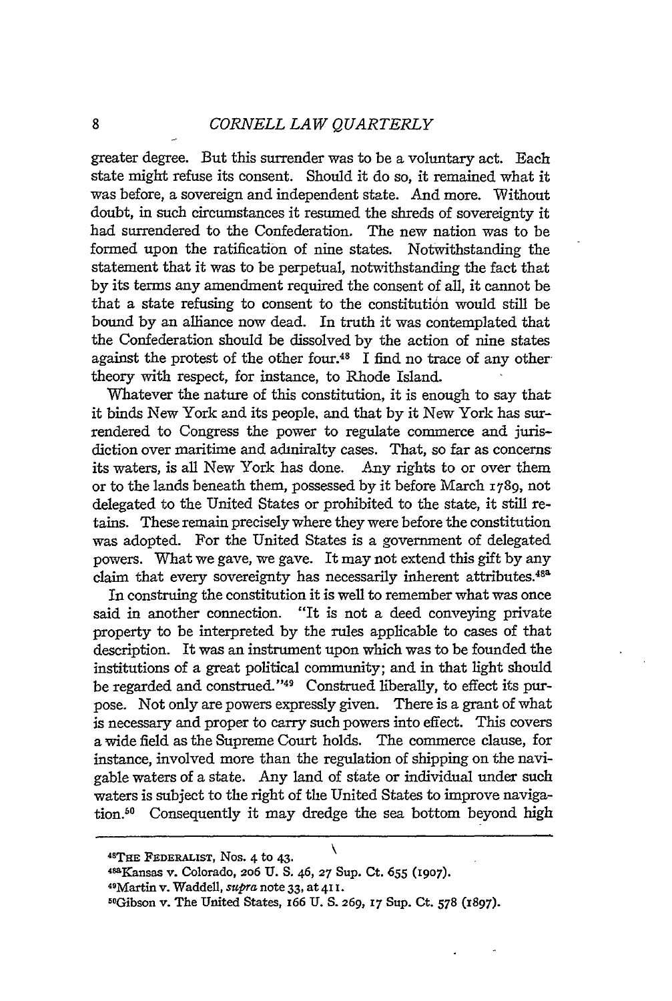greater degree. But this surrender was to be a voluntary act. Each state might refuse its consent. Should it do so, it remained what it was before, a sovereign and independent state. And more. Without doubt, in such circumstances it resumed the shreds of sovereignty it had surrendered to the Confederation. The new nation was to be formed upon the ratification of nine states. Notwithstanding the statement that it was to be perpetual, notwithstanding the fact that by its terms any amendment required the consent of all, it cannot be that a state refusing to consent to the constitution would still be bound **by** an alliance now dead. In truth it was contemplated that the Confederation should be dissolved **by** the action of nine states against the protest of the other four.<sup>48</sup>  $\check{\rm I}$  find no trace of any othertheory with respect, for instance, to Rhode Island.

Whatever the nature of this constitution, it is enough to say that it binds New York and its people, and that by it New York has surrendered to Congress the power to regulate commerce and jurisdiction over maritime and admiralty cases. That, so far as concerns its waters, is all New York has done. Any rights to or over them or to the lands beneath them, possessed by it before March 1789, not delegated to the United States or prohibited to the state, it still retains. These remain precisely where they were before the constitution was adopted. For the United States is a government of delegated powers. What we gave, we gave. It may not extend this gift by any claim that every sovereignty has necessarily inherent attributes.<sup>488</sup>

In construing the constitution it is well to remember what was once said in another connection. "It is not a deed conveying private property to be interpreted by the rules applicable to cases of that description. It was an instrument upon which was to be founded the institutions of a great political community; and in that light should be regarded and construed."<sup>49</sup> Construed liberally, to effect its purpose. Not only are powers expressly given. There is a grant of what is necessary and proper to carry such powers into effect. This covers a wide field as the Supreme Court holds. The commerce clause, for instance, involved more than the regulation of shipping on the navigable waters of a state. Any land of state or individual under such waters is subject to the right of the United States to improve navigation.<sup>50</sup> Consequently it may dredge the sea bottom beyond high

**<sup>4</sup> 8 THE FEDERALIST,** Nos. 4 to **43.**

<sup>4-</sup>aKansas v. Colorado, 2o6 **U. S.** 46, **27** Sup. Ct. 655 **(1907).**

<sup>49</sup>Martin v. Waddell, supra note **33,** at **411.**

<sup>5</sup>OGibson v. The United States, 166 **U. S. 269, 17** Sup. Ct. **578 (1897).**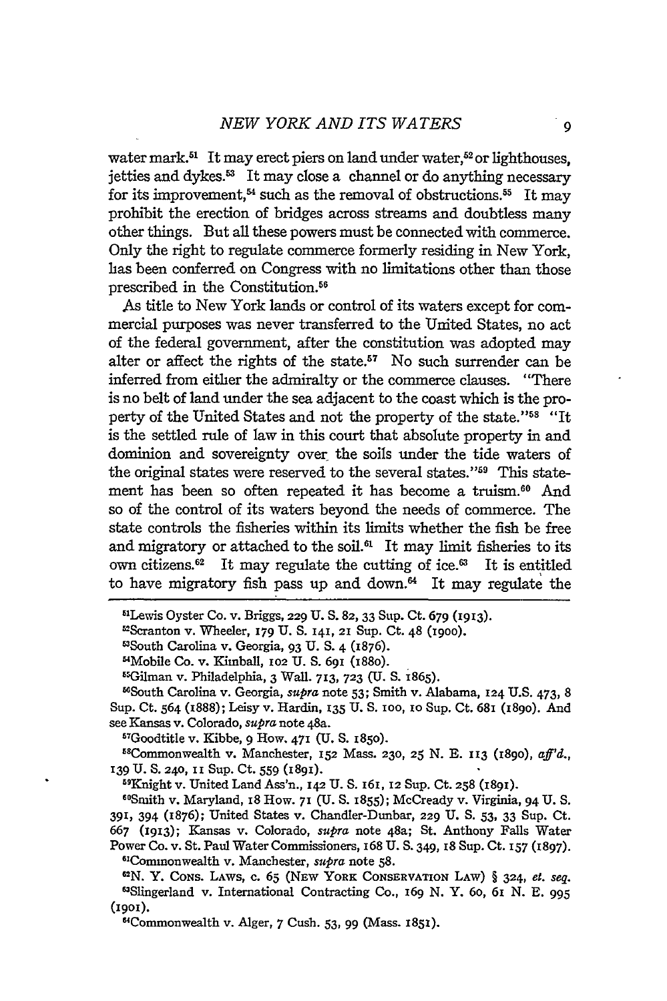water mark.<sup>51</sup> It may erect piers on land under water,<sup>52</sup> or lighthouses, jetties and dykes.<sup>53</sup> It may close a channel or do anything necessary for its improvement,<sup>54</sup> such as the removal of obstructions.<sup>55</sup> It may prohibit the erection of bridges across streams and doubtless many other things. But all these powers must be connected with commerce. Only the right to regulate commerce formerly residing in New York, has been conferred on Congress with no limitations other than those prescribed in the Constitution.56

As title to New York lands or control of its waters except for commercial purposes was never transferred to the United States, no act of the federal government, after the constitution was adopted may alter or affect the rights of the state.<sup>57</sup> No such surrender can be inferred from either the admiralty or the commerce clauses. "There is no belt of land under the sea adjacent to the coast which is the property of the United States and not the property of the state."<sup>58</sup> "It is the settled rule of law in this court that absolute property in and dominion and sovereignty over the soils under the tide waters of the original states were reserved to the several states."<sup>59</sup> This statement has been so often repeated it has become a truism.<sup>60</sup> And so of the control of its waters beyond the needs of commerce. The state controls the fisheries within its limits whether the fish be free and migratory or attached to the soil. $^{61}$  It may limit fisheries to its own citizens.<sup>62</sup> It may regulate the cutting of ice.<sup>63</sup> It is entitled to have migratory fish pass up and down. $64$  It may regulate the

58Commonwealth v. Manchester, **152** Mass. **230, 25** N. E. 113 (I89O), *af'd.,* **139 U. S.** 240, **II** Sup. Ct. 559 **(1891).**

59Knight v. United Land Ass'n., 142 U. S. I61, 12 Sup. Ct. **258** (1891).

"Smith v. Maryland, 18 How. **71** (U. **S.** 1855); McCready v. Virginia, 94 U. S. 391, 394 (1876); United States v. Chandler-Dunbar, 229 U. **S.** 53, 33 Sup. Ct. 667 **(1913);** Kansas v. Colorado, *supra* note 48a; St. Anthony Falls Water Power Co. v. St. Paul Water Commissioners, 168 U. S. 349, 18 Sup. Ct. 157 (1897). <sup>61</sup>Commonwealth v. Manchester, *supra* note 58.

<sup>5</sup> 'Lewis Oyster Co. v. Briggs, 229 U. S. **82, 33** Sup. Ct. 679 (1913).

<sup>&</sup>lt;sup>52</sup>Scranton v. Wheeler, 179 U. S. 141, 21 Sup. Ct. 48 (1900).<br><sup>53</sup>South Carolina v. Georgia, 93 U. S. 4 (1876).

<sup>&</sup>quot;Mobile Co. v. Kimball, **102** U. S. **691** (188o). <sup>5</sup> Gilman v. Philadelphia, 3 Wall. **713, 723** (U. S. 1865).

<sup>&</sup>quot;South Carolina v. Georgia, *supra* note 53; Smith v. Alabama, **124** U.S. 473, 8 Sup. Ct. 564 (1888); Leisy v. Hardin, **135** U. S. **100,** IO Sup. Ct. 681 (189o). And see Kansas v. Colorado, *supra* note 48a. <sup>57</sup>

Goodtitle v. Kibbe, 9 How. **471** (U. S. **x85O).**

**<sup>6</sup> N.** Y. CONS. LAWS, c. **65** (NEw YORK **CONSERVATION** LAW) § 324, *et. seq.* "Slingerland v. International Contracting Co., **169** N. Y. 6o, 61 N. **E. 995** (1gox).

<sup>&</sup>quot;Commonwealth v. Alger, 7 Cush. 53, 99 (Mass. **I851).**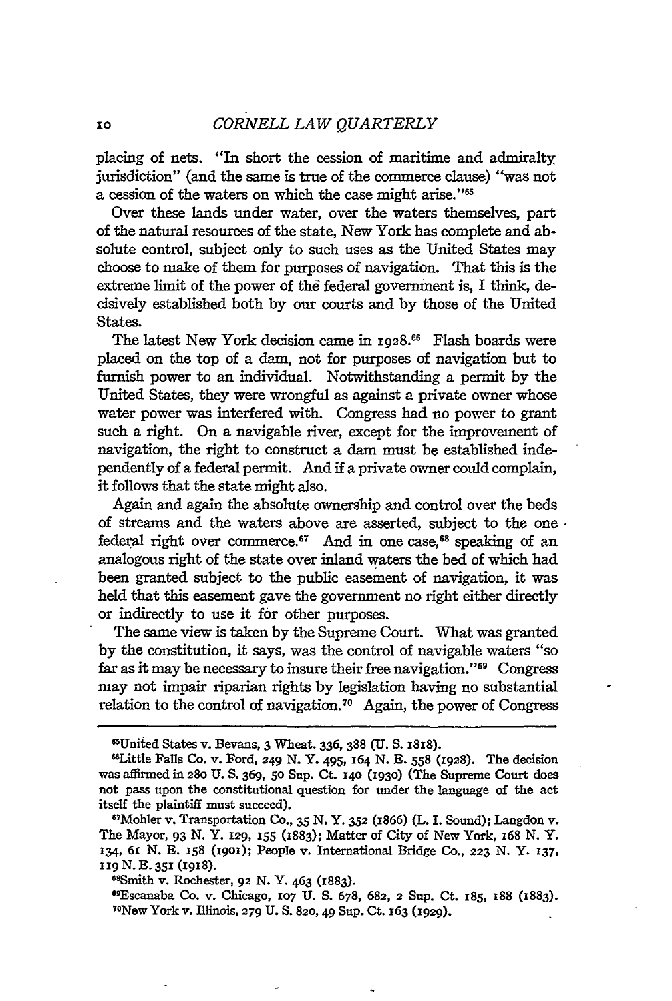placing of nets. "In short the cession of maritime and admiralty jurisdiction" (and the same is true of the commerce clause) "was not a cession of the waters on which the case might arise."'

Over these lands **under** water, over the waters themselves, part of the natural resources of the state, New York has complete and absolute control, subject only to such uses as the United States may choose to make of them for purposes of navigation. That this is the extreme limit of the power of the federal government is, I think, decisively established both by our courts and by those of the United States.

The latest New York decision came in **1928.66** Flash boards were placed on the top of a dam, not for purposes of navigation but to furnish power to an individual. Notwithstanding a permit **by** the United States, they were wrongful as against a private owner whose water power was interfered with. Congress had no power to grant such a right. On a navigable river, except for the improvement of navigation, the right to construct a dam must be established independently of a federal permit. And if a private owner could complain, it follows that the state might also.

Again and again the absolute ownership and control over the beds of streams and the waters above are asserted, subject to the one federal right over commerce.<sup>67</sup> And in one case,<sup>68</sup> speaking of an analogous right of the state over inland waters the bed of which had been granted subject to the public easement of navigation, it was held that this easement gave the government no right either directly or indirectly to use it for other purposes.

The same view is taken **by** the Supreme Court. What was granted **by** the constitution, it says, was the control of navigable waters "so far as it may be necessary to insure their free navigation." 69 Congress may not impair riparian rights **by** legislation having no substantial relation to the control of navigation.70 Again, the power of Congress

<sup>68</sup>Smith v. Rochester, 92 N. Y. 463 (1883).

Escanaba Co. v. Chicago, **107 U. S. 678, 682, 2 Sup.** Ct. **185, 188 (1883).** <sup>7</sup> °New York v. Illinois, 279 **U. S. 820,49 Sup.** Ct. 163 (1929).

<sup>1</sup>United States v. Bevans, **3** Wheat. 336, **388 (U. S. 1818).** <sup>6</sup> Little Falls Co. v. Ford, **249 N.** Y. 495, **164 N. E. 558 (1928).** The decision was affirmed in **28o U. S.** 369, 5o Sup. Ct. **140 (1930)** (The Supreme Court does not pass upon the constitutional question for under the language of the act itself the plaintiff must succeed).

Mohler v. Transportation **Co., 35 N.** Y. **352** (1866) **(L.** I. Sound); Langdon v. The Mayor, 93 **N.** Y. 129, 155 (1883); Matter of City of New York, 168 **N.** Y. 134, **61 N. B. 158** (igoi); People v. International Bridge CO., **223** *N.* **Y.** 137, 119 N. E. 351 (1918).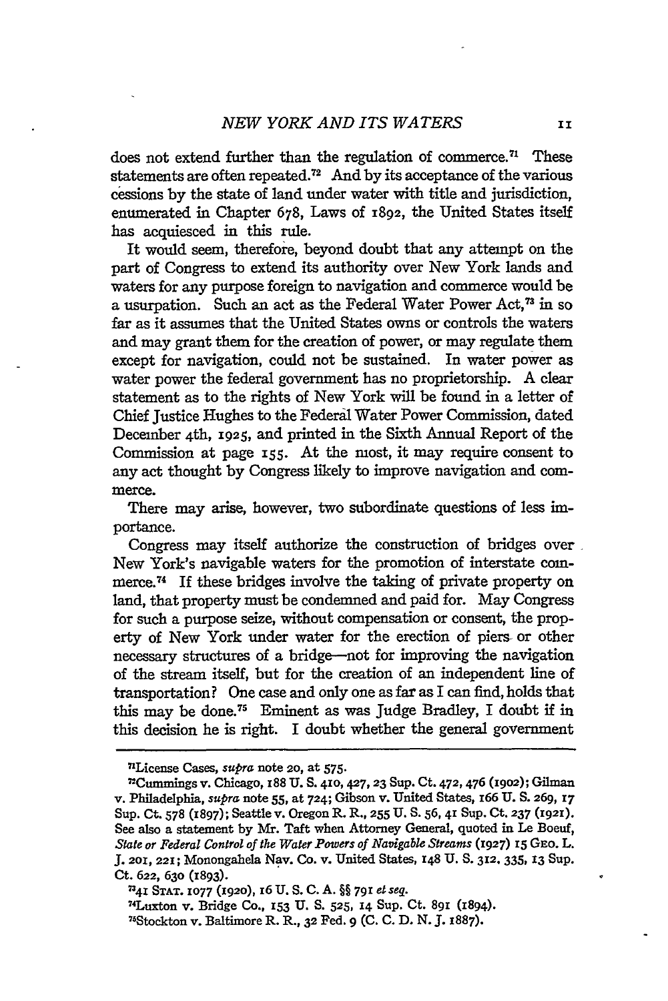does not extend further than the regulation of commerce.<sup> $n$ </sup> These statements **are** often repeated.7 2 And **by** its acceptance of the various cessions by the state of land under water with title and jurisdiction, enumerated in Chapter 678, Laws of **1892,** the United States itself has acquiesced in this rule.

It would seem, therefore, beyond doubt that any attempt on the part of Congress to extend its authority over New York lands and waters for any purpose foreign to navigation and commerce would be a usurpation. Such an act as the Federal Water Power Act,<sup>73</sup> in so far as it assumes that the United States owns or controls the waters and may grant them for the creation of power, or may regulate them except for navigation, could not be sustained. In water power as water power the federal government has no proprietorship. A clear statement as to the rights of New York will be found in a letter of Chief Justice Hughes to the Federal Water Power Commission, dated December 4th, 1925, and printed in the Sixth Annual Report of the Commission at page 155. At the most, it may require consent to any act thought by Congress likely to improve navigation and commerce.

There may arise, however, two subordinate questions of less importance.

Congress may itself authorize the construction of bridges over New York's navigable waters for the promotion of interstate commerce.<sup>74</sup> If these bridges involve the taking of private property on land, that property must be condemned and paid for. May Congress for such a purpose seize, without compensation or consent, the property of New York under water for the erection of piers- or other necessary structures of a bridge-not for improving the navigation of the stream itself, but for the creation of an independent line of transportation? One case and only one as far as I can find, holds that this may be done.75 Eminent as was Judge Bradley, I doubt if in this decision he is right. I doubt whether the general government

<sup>7</sup> License Cases, *supra* note **20,** at **575.** 2

<sup>7</sup> Cummings v. Chicago, 188 **U. S. 410,427,23** Sup. Ct. **472,** 476 **(19o2);** Gilman v. Philadelphia, *supra* note **55,** at 724; Gibson v. United States, 166 **U.** S. **269, 17** Sup. Ct. **578 (1897);** Seattle v. Oregon R. R., **255** U. S. **56, 41** Sup. Ct. **237 (1921).** See also a statement by Mr. Taft when Attorney General, quoted in Le Boeuf, *State or Federal Control of the Water Powers of Navigable Streams* **(1927)** *15* GEO. L. J. **201,** 221; Monongahela Nay. Co. v. United States, **148** U. **S. 312.** 335, **13** Sup.

Ct. **622, 630** (1893). *n41* **STAT. 1077 (1920), I6 U. S. C. A.** §§ **791** *et seg.* 7 4Luxton v. Bridge Co., **153 U. S. 525, 14** Sup. **Ct. 891 (1894).** 75 Stockton v. Baltimore R. R., **32** Fed. **9 (C. C. D. N. J. 1887).**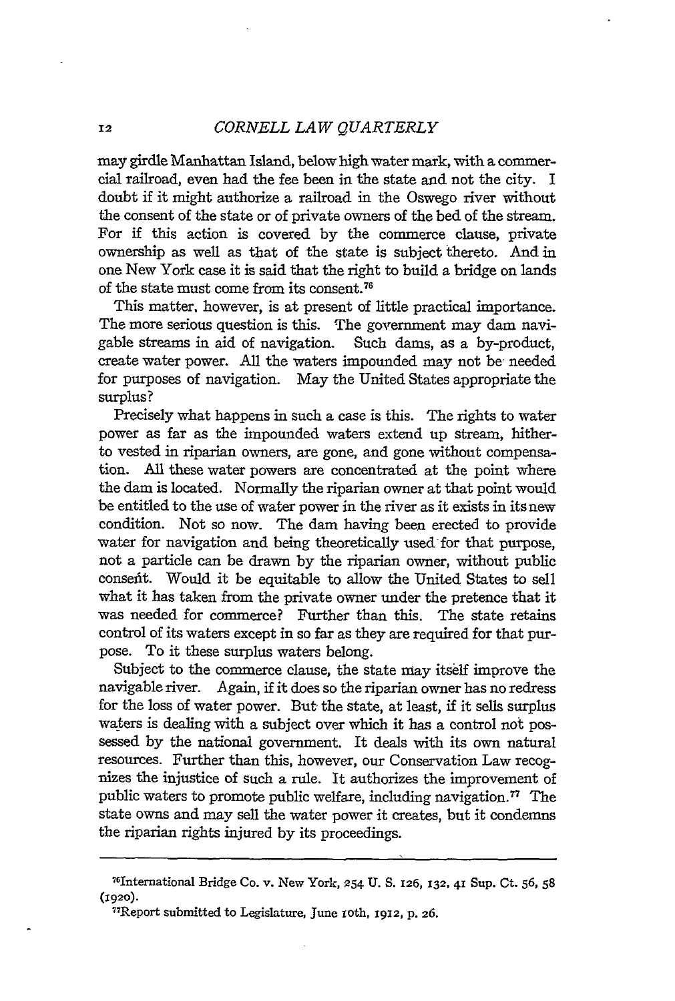#### *CORNELL LAW QUARTERLY*

may girdle Manhattan Island, below high water mark, with a commercial railroad, even had the fee been in the state and not the city. I doubt if it might authorize a railroad in the Oswego river without the consent of the state or of private owners of the bed of the stream. For if this action is covered by the commerce clause, private ownership as well as that of the state is subject thereto. And in one New York case it is said that the right to build a bridge on lands of the state must come from its consent.78

This matter, however, is at present of little practical importance. The more serious question is this. The government may dam navigable streams in aid of navigation. Such dams, as a by-product, create water power. All the waters impounded may not be needed for purposes of navigation. May the United States appropriate the surplus?

Precisely what happens in such a case is this. The rights to water power as far as the impounded waters extend up stream, hitherto vested in riparian owners, are gone, and gone without compensation. All these water powers are concentrated at the point where the dam is located. Normally the riparian owner at that point would be entitled to the use of water power in the river as it exists in its new condition. Not so now. The dam having been erected to provide water for navigation and being theoretically used for that purpose, not a particle can be drawn by the riparian owner, without public consefit. Would it be equitable to allow the United States to sell what it has taken from the private owner under the pretence that it was needed for commerce? Further than this. The state retains control of its waters except in so far as they are required for that purpose. To it these surplus waters belong.

Subject to the commerce clause, the state may itself improve the navigable river. Again, if it does so the riparian owner has no redress for the loss of water power. But the state, at least, if it sells surplus waters is dealing with a subject over which it has a control not possessed by the national government. It deals with its own natural resources. Further than this, however, our Conservation Law recognizes the injustice of such a rule. It authorizes the improvement of public waters to promote public welfare, including navigation.<sup>77</sup> The state owns and may sell the water power it creates, but it condemns the riparian rights injured by its proceedings.

12

<sup>76</sup> nternational Bridge Co. v. New York, 254 **U. S. 126,** 132, 41 Sup. Ct. **56,** <sup>58</sup> **(1920).**

<sup>&</sup>quot;Report submitted to Legislature, June loth, 1912, **p.** 26.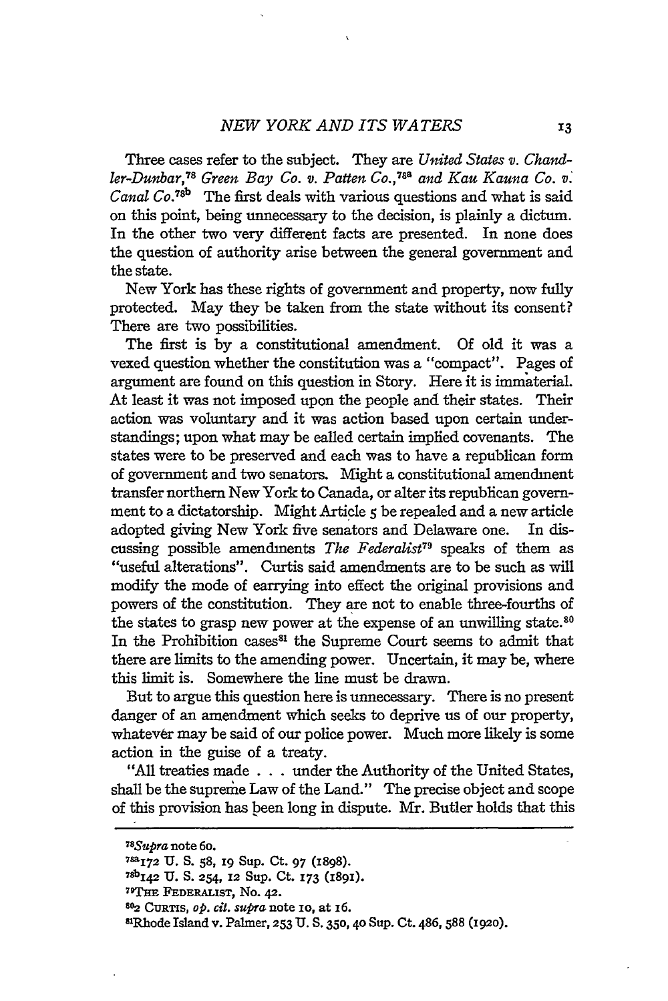Three cases refer to the subject. They are *United States v. Chand*ler-Dunbar,<sup>78</sup> Green Bay Co. v. Patten Co.,<sup>788</sup> and Kau Kauna Co. v. *Canal* **Co.78b** The first deals with various questions and what is said on this point, being unnecessary to the decision, is plainly a dictum. In the other two very different facts are presented. In none does the question of authority arise between the general government and the state.

New York has these rights of government and property, now fully protected. May they be taken from the state without its consent? There are two possibilities.

The first is by a constitutional amendment. Of old it was a vexed question whether the constitution was a "compact". Pages of argument are found on this question in Story. Here it is immaterial. At least it was not imposed upon the people and their states. Their action was voluntary and it was action based upon certain understandings; upon what may be called certain implied covenants. The states were to be preserved and each was to have a republican form of government and two senators. Might a constitutional amendment transfer northern New York to Canada, or alter its republican government to a dictatorship. Might Article *5* be repealed and a new article adopted giving New York five senators and Delaware one. In discussing possible amendments *The Federalist<sup>79</sup>* speaks of them as "useful alterations". Curtis said amendments are to be such as will modify the mode of carrying into effect the original provisions and powers of the constitution. They are not to enable three-fourths of the states to grasp new power at the expense of an unwilling state **<sup>80</sup>** In the Prohibition cases<sup>81</sup> the Supreme Court seems to admit that there are limits to the amending power. Uncertain, it may be, where this limit is. Somewhere the line must be drawn.

But to argue this question here is unnecessary. There is no present danger of an amendment which seeks to deprive us of our property, whatever may be said of our police power. Much more likely is some action in the guise of a treaty.

"All treaties made . . . under the Authority of the United States, shall be the supreme Law of the Land." The precise object and scope of this provision has been long in dispute. Mr. Butler holds that this

*<sup>7</sup> 8 Supra* **note 6o.**

<sup>78</sup>aI72 **U. S. 58, 19** Sup. Ct. **97 (1898).**

**<sup>78</sup>bI <sup>4</sup> <sup>2</sup>U. S. 254, 12 Sup. Ct. 173 (1891).**

Wl'm **FEDERALIST,** No. *42.*

**<sup>602</sup>**CURTIS, *op. cit. supra* note io, at 16.

**<sup>8</sup> Rhode** Island v. Palmer, **253** U. **S. 350, 4o** Sup. **Ct. 486, 588 (1920).**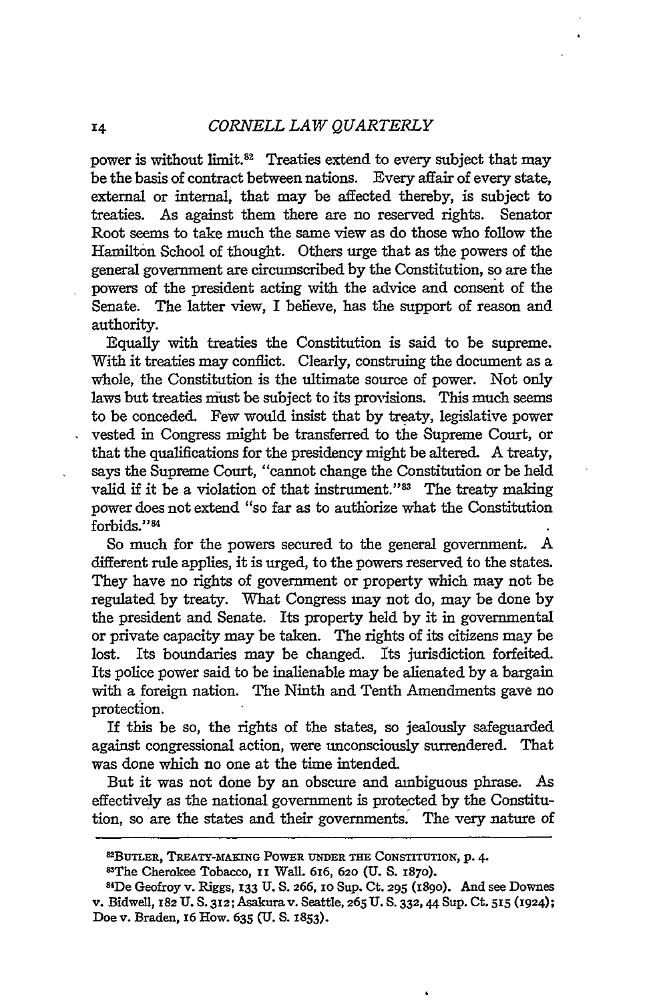power is without limit.82 Treaties extend to every subject that may be the basis of contract between nations. Every affair of every state, external or internal, that may be affected thereby, is subject to treaties. As against them there are no reserved rights. Senator Root seems to take much the same view as do those who follow the Hamilton School of thought. Others urge that as the powers of the general government are circumscribed **by** the Constitution, so are the powers of the president acting with the advice and consent of the Senate. The latter view, I believe, has the support of reason and authority.

Equally with treaties the Constitution is said to be supreme. With it treaties may conflict. Clearly, construing the document as a whole, the Constitution is the ultimate source of power. Not only laws but treaties must be subject to its provisions. This much seems to be conceded. Few would insist that by treaty, legislative power vested in Congress might be transferred to the Supreme Court, or that the qualifications for the presidency might be altered. A treaty, says the Supreme Court, "cannot change the Constitution or be held valid if it be a violation of that instrument."<sup>83</sup> The treaty making power does not extend "so far as to authorize what the Constitution forbids."84

So much for the powers secured to the general government. A different rule applies, it is urged, to the powers reserved to the states. They have no rights of government or property which may not be regulated by treaty. What Congress may not do, may be done by the president and Senate. Its property held by it in governmental or private capacity may be taken. The rights of its citizens may be lost. Its boundaries may be changed. Its jurisdiction forfeited. Its police power said to be inalienable may be alienated by a bargain with a foreign nation. The Ninth and Tenth Amendments gave no protection.

If this be so, the rights of the states, so jealously safeguarded against congressional action, were unconsciously surrendered. That was done which no one at the time intended.

But it was not done by an obscure and ambiguous phrase. As effectively as the national government is protected by the Constitution, so are the states and their governments. The very nature of

**<sup>82</sup>BUTLER, TREATY-MAHING POWER UNDER THE CONSTITUTION,** p. 4.

<sup>83</sup>The Cherokee Tobacco, **ii** Wall. **616, 620 (U. S. 1870).**

**<sup>84</sup> De Geofroy v. Riggs, 133 U. S. 266, 10 SUp.** Ct. **295 (I89o). And** see Downes v. Bidwell, **182 U. S. 312;** Asakura v. **Seattle, 265 U. S.** 332, **44 Sup. Ct. 515** (1924); **Doe** v. **Braden, x6 How. 635** *(U.* **S. 1853).**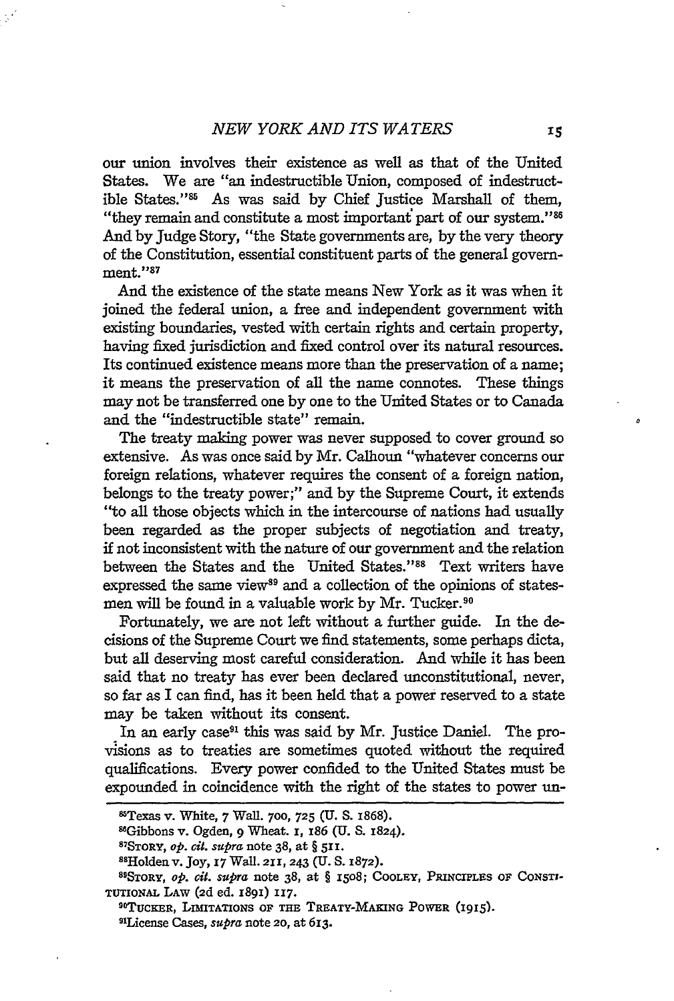our union involves their existence as well as that of the United States. We are "an indestructible Union, composed of indestructible States."<sup>85</sup> As was said by Chief Justice Marshall of them, "they remain and constitute a most important part of our system." <sup>86</sup> And by Judge Story, "the State governments are, by the very theory of the Constitution, essential constituent parts of the general government."87

And the existence of the state means New York as it was when it joined the federal union, a free and independent government with existing boundaries, vested with certain rights and certain property, having fixed jurisdiction and fixed control over its natural resources. Its continued existence means more than the preservation of a name; it means the preservation of all the name connotes. These things may not be transferred one by one to the United States or to Canada and the "indestructible state" remain.

The treaty making power was never supposed to cover ground so extensive. As was once said by Mr. Calhoun "whatever concerns our foreign relations, whatever requires the consent of a foreign nation, belongs to the treaty power;" and by the Supreme Court, it extends "to all those objects which in the intercourse of nations had usually been regarded as the proper subjects of negotiation and treaty, if not inconsistent with the nature of our government and the relation between the States and the United States."<sup>88</sup> Text writers have expressed the same view<sup>89</sup> and a collection of the opinions of statesmen will be found in a valuable work by Mr. Tucker.<sup>90</sup>

Fortunately, we are not left without a further guide. In the decisions of the Supreme Court we find statements, some perhaps dicta, but all deserving most careful consideration. And while it has been said that no treaty has ever been declared unconstitutional, never, so far as I can find, has it been held that a power reserved to a state may be taken without its consent.

In an early case<sup>91</sup> this was said by Mr. Justice Daniel. The provisions as to treaties are sometimes quoted without the required qualifications. Every power confided to the United States must be expounded in coincidence with the right of the states to power un-

<sup>8</sup>Texas v. White, 7 Wall. **700, 725** (U. S. 1868).

<sup>&</sup>lt;sup>86</sup>Gibbons v. Ogden, 9 Wheat. **I**, **186** (U. S. 1824).

STORY, *op. 6it.* supra note 38, at § **511.**

SsHolden v. Joy, **i7** Wall. **211,** 243 (U. S. **1872).**

<sup>8</sup> 1SToRY, *op. cit. supra* note 38, at § **I508; COOLEY, PRINCIPLES** OF **CONSTI-TUTIONAL LAW (2d ed. I891) 117. <sup>90</sup>**

**TUCKER, LIMITATIONS OF THE TREATY-MAKING POWER (I915). <sup>s</sup> 1 License** Cases, *supra* **note 2o, at 613.**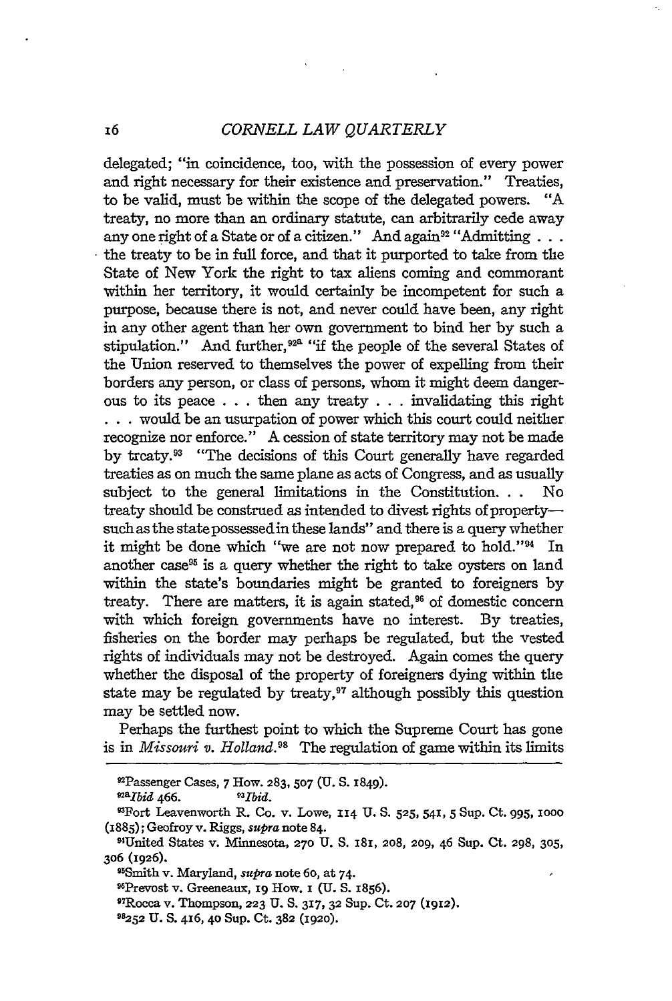### *CORNELL LAW QUARTERLY*

delegated; "in coincidence, too, with the possession of every power and right necessary for their existence and preservation." Treaties, to be valid, must be within the scope of the delegated powers. "A treaty, no more than an ordinary statute, can arbitrarily cede away any one right of a State or of a citizen." And again<sup>92</sup> "Admitting  $\dots$ the treaty to be in full force, and that it purported to take from the State of New York the right to tax aliens coming and commorant within her territory, it would certainly be incompetent for such a purpose, because there is not, and never could have been, any right in any other agent than her own government to bind her by such a stipulation." And further,<sup>92ª</sup> "if the people of the several States of the Union reserved to themselves the power of expelling from their borders any person, or class of persons, whom it might deem dangerous to its peace . . .then any treaty . . .invalidating this right **.** . .would be an usurpation of power which this court could neither recognize nor enforce." A cession of state territory may not be made by treaty.<sup>93</sup> "The decisions of this Court generally have regarded treaties as on much the same plane as acts of Congress, and as usually subject to the general limitations in the Constitution. **.** . No treaty should be construed as intended to divest rights of propertysuch as the state possessed in these lands" and there is a query whether it might be done which "we are not now prepared to hold."<sup>94</sup> In another case<sup>95</sup> is a query whether the right to take oysters on land within the state's boundaries might be granted to foreigners by treaty. There are matters, it is again stated, $96$  of domestic concern with which foreign governments have no interest. By treaties, fisheries on the border may perhaps be regulated, but the vested rights of individuals may not be destroyed. Again comes the query whether the disposal of the property of foreigners dying within the state may be regulated by treaty,<sup>97</sup> although possibly this question may be settled now.

Perhaps the furthest point to which the Supreme Court has gone is in *Missouri v. Holland."'* The regulation of game within its limits

Passenger Cases, 7 How. **283, 507 (U.** S. 1849). *3*

a2abid 466. *P Ibid.*

92

Fort Leavenworth R. Co. v. Lowe, **114 U. S. 525,** 541, **5** Sup. Ct. 995, **1000** (1885); Geofroy v. Riggs, *supra* note 84.

<sup>94</sup>United States v. Minnesota, **270 U. S. I81, 208, 209,** 46 Sup. Ct. **298, 305, 306 (I926).**

<sup>&#</sup>x27;-Smith v. Maryland, *supra* note 6o, at 74.

<sup>&</sup>quot;Prevost v. Greeneaux, **i9** How. **i (U. S.** 1856).

<sup>9</sup> TRocca v. Thompson, **223 U. S. 317, 32** Sup. Ct. **207 (1912).**

*<sup>98252</sup>* **U. S.** 416, 4o Sup. Ct. **382 (1920).**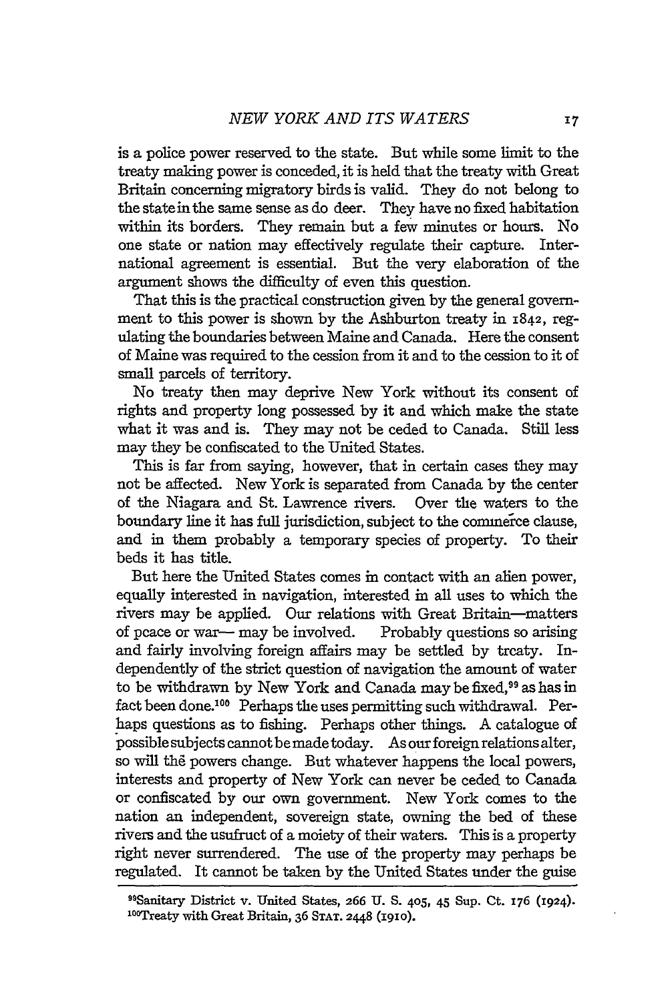is a police power reserved to the state. But while some limit to the treaty making power is conceded, it is held that the treaty with Great Britain concerning migratory birds is valid. They do not belong to the statein the same sense as do deer. They have no fixed habitation within its borders. They remain but a few minutes or hours. No one state or nation may effectively regulate their capture. International agreement is essential. But the very elaboration of the argument shows the difficulty of even this question.

That this is the practical construction given by the general government to this power is shown by the Ashburton treaty in 1842, regulating the boundaries between Maine and Canada. Here the consent of Maine was required to the cession from it and to the cession to it of small parcels of territory.

No treaty then may deprive New York without its consent of rights and property long possessed by it and which make the state what it was and is. They may not be ceded to Canada. Still less may they be confiscated to the United States.

This is far from saying, however, that in certain cases they may not be affected. New York is separated from Canada by the center of the Niagara and St. Lawrence rivers. Over the waters to the boundary line it has full jurisdiction, subject to the commerce clause, and in them probably a temporary species of property. To their beds it has title.

But here the United States comes in contact with an alien power, equally interested in navigation, interested in all uses to which the rivers may be applied. Our relations with Great Britain-matters of peace or war- may be involved. Probably questions so arising and fairly involving foreign affairs may be settled by treaty. Independently of the strict question of navigation the amount of water to be withdrawn by New York and Canada may be fixed,<sup>99</sup> as has in fact been done.<sup>106</sup> Perhaps the uses permitting such withdrawal. Perhaps questions as to fishing. Perhaps other things. A catalogue of possible subjects cannot be made today. As our foreign relations alter, so will the powers change. But whatever happens the local powers, interests and property of New York can never be ceded to Canada or confiscated by our own government. New York comes to the nation an independent, sovereign state, owning the bed of these rivers and the usufruct of a moiety of their waters. This is a property right never surrendered. The use of the property may perhaps be regulated. It cannot be taken by the United States under the guise

**<sup>9</sup> "Sanitary District v. United** States, **266 U. S.** 405, 45 Sup. **Ct. 176 (1924). <sup>10</sup> oTreaty with Great Britain, 36 STAT. 2448 (I910).**